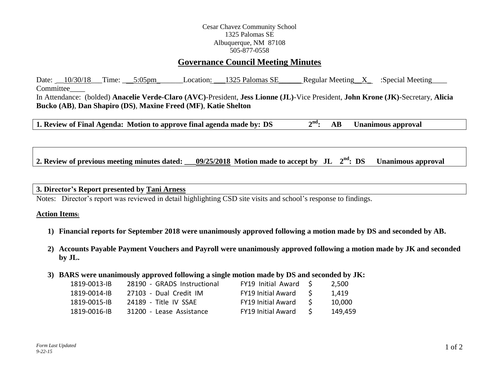## Cesar Chavez Community School 1325 Palomas SE Albuquerque, NM 87108 505-877-0558

# **Governance Council Meeting Minutes**

Date: \_\_10/30/18\_\_\_Time: \_\_\_5:05pm Location: \_\_\_1325 Palomas SE\_\_\_\_\_\_\_ Regular Meeting X :Special Meeting Committee In Attendance: (bolded) **Anacelie Verde-Claro (AVC)**-President, **Jess Lionne (JL)**-Vice President, **John Krone (JK)**-Secretary, **Alicia Bucko (AB)**, **Dan Shapiro (DS)**, **Maxine Freed (MF)**, **Katie Shelton**

**1. Review of Final Agenda: Motion to approve final agenda made by: DS 2 nd: AB Unanimous approval**

2. Review of previous meeting minutes dated:  $09/25/2018$  Motion made to accept by JL  $2<sup>nd</sup>$ : DS **Unanimous approval** 

## **3. Director's Report presented by Tani Arness**

Notes: Director's report was reviewed in detail highlighting CSD site visits and school's response to findings.

#### **Action Items:**

- **1) Financial reports for September 2018 were unanimously approved following a motion made by DS and seconded by AB.**
- **2) Accounts Payable Payment Vouchers and Payroll were unanimously approved following a motion made by JK and seconded by JL.**
- **3) BARS were unanimously approved following a single motion made by DS and seconded by JK:**

| 1819-0013-IB | 28190 - GRADS Instructional | $FY19$ Initial Award $\zeta$ |    | 2.500   |
|--------------|-----------------------------|------------------------------|----|---------|
| 1819-0014-IB | 27103 - Dual Credit IM      | <b>FY19 Initial Award</b>    | -S | 1.419   |
| 1819-0015-IB | 24189 - Title IV SSAF       | <b>FY19 Initial Award</b>    |    | 10.000  |
| 1819-0016-IB | 31200 - Lease Assistance    | <b>FY19 Initial Award</b>    |    | 149.459 |